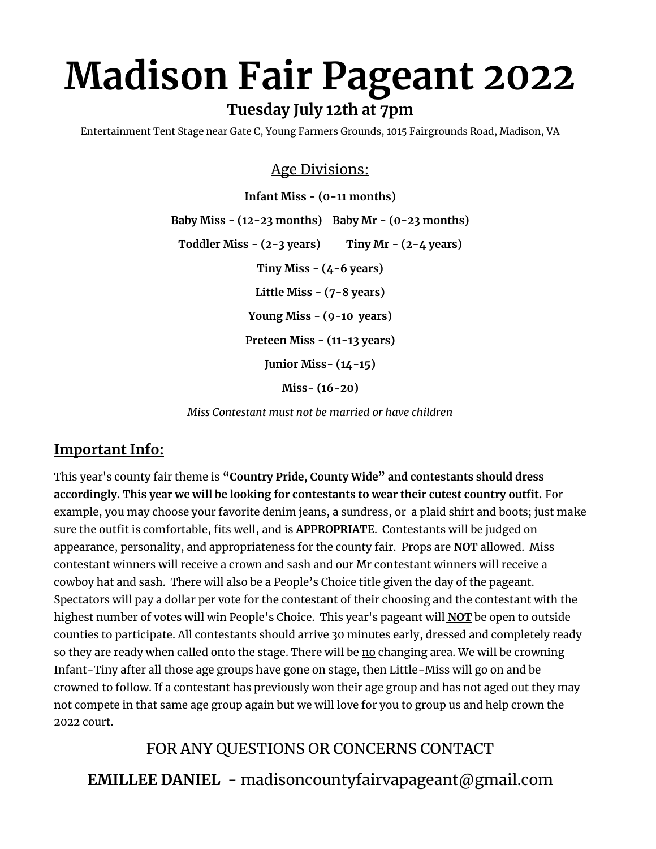# **Madison Fair Pageant 2022 Tuesday July 12th at 7pm**

Entertainment Tent Stage near Gate C, Young Farmers Grounds, 1015 Fairgrounds Road, Madison, VA

## Age Divisions:

**Infant Miss - (0-11 months) Baby Miss - (12-23 months) Baby Mr - (0-23 months) Toddler Miss - (2-3 years) Tiny Mr - (2-4 years) Tiny Miss - (4-6 years) Little Miss - (7-8 years) Young Miss - (9-10 years) Preteen Miss - (11-13 years) Junior Miss- (14-15)**

**Miss- (16-20)** 

*Miss Contestant must not be married or have children* 

## **Important Info:**

This year's county fair theme is **"Country Pride, County Wide" and contestants should dress accordingly. This year we will be looking for contestants to wear their cutest country outfit.** For example, you may choose your favorite denim jeans, a sundress, or a plaid shirt and boots; just make sure the outfit is comfortable, fits well, and is **APPROPRIATE**. Contestants will be judged on appearance, personality, and appropriateness for the county fair. Props are **NOT** allowed. Miss contestant winners will receive a crown and sash and our Mr contestant winners will receive a cowboy hat and sash. There will also be a People's Choice title given the day of the pageant. Spectators will pay a dollar per vote for the contestant of their choosing and the contestant with the highest number of votes will win People's Choice. This year's pageant will **NOT** be open to outside counties to participate. All contestants should arrive 30 minutes early, dressed and completely ready so they are ready when called onto the stage. There will be no changing area. We will be crowning Infant-Tiny after all those age groups have gone on stage, then Little-Miss will go on and be crowned to follow. If a contestant has previously won their age group and has not aged out they may not compete in that same age group again but we will love for you to group us and help crown the 2022 court.

# FOR ANY QUESTIONS OR CONCERNS CONTACT

**EMILLEE DANIEL** - madisoncountyfairvapageant@gmail.com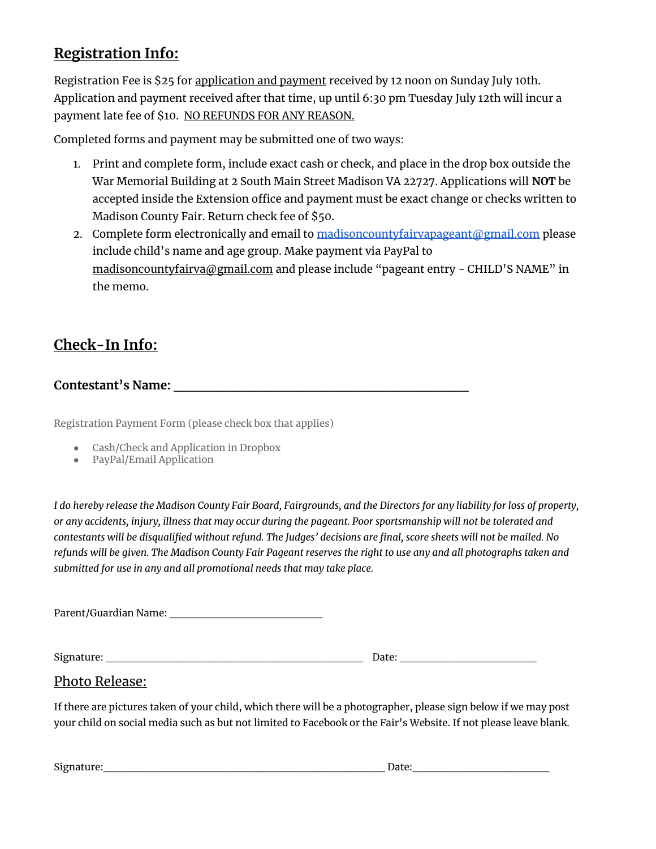# **Registration Info:**

Registration Fee is \$25 for application and payment received by 12 noon on Sunday July 10th. Application and payment received after that time, up until 6:30 pm Tuesday July 12th will incur a payment late fee of \$10. NO REFUNDS FOR ANY REASON.

Completed forms and payment may be submitted one of two ways:

- 1. Print and complete form, include exact cash or check, and place in the drop box outside the War Memorial Building at 2 South Main Street Madison VA 22727. Applications will **NOT** be accepted inside the Extension office and payment must be exact change or checks written to Madison County Fair. Return check fee of \$50.
- 2. Complete form electronically and email t[o madisoncountyfairvapageant@gmail.com](mailto:madisoncountyfairvapageant@gmail.com) please include child's name and age group. Make payment via PayPal to [madisoncountyfairva@gmail.com](mailto:madisoncountyfairva@gmail.com) and please include "pageant entry - CHILD'S NAME" in the memo.

# **Check-In Info:**

## **Contestant's Name:**  $\blacksquare$

Registration Payment Form (please check box that applies)

- Cash/Check and Application in Dropbox
- PayPal/Email Application

*I do hereby release the Madison County Fair Board, Fairgrounds, and the Directors for any liability for loss of property, or any accidents, injury, illness that may occur during the pageant. Poor sportsmanship will not be tolerated and contestants will be disqualified without refund. The Judges' decisions are final, score sheets will not be mailed. No refunds will be given. The Madison County Fair Pageant reserves the right to use any and all photographs taken and submitted for use in any and all promotional needs that may take place.* 

Parent/Guardian Name: \_\_\_\_\_\_\_\_\_\_\_\_\_\_\_\_\_\_\_

Signature: \_\_\_\_\_\_\_\_\_\_\_\_\_\_\_\_\_\_\_\_\_\_\_\_\_\_\_\_\_\_\_\_ Date: \_\_\_\_\_\_\_\_\_\_\_\_\_\_\_\_\_

#### Photo Release:

If there are pictures taken of your child, which there will be a photographer, please sign below if we may post your child on social media such as but not limited to Facebook or the Fair's Website. If not please leave blank.

Signature:\_\_\_\_\_\_\_\_\_\_\_\_\_\_\_\_\_\_\_\_\_\_\_\_\_\_\_\_\_\_\_\_\_\_\_ Date:\_\_\_\_\_\_\_\_\_\_\_\_\_\_\_\_\_